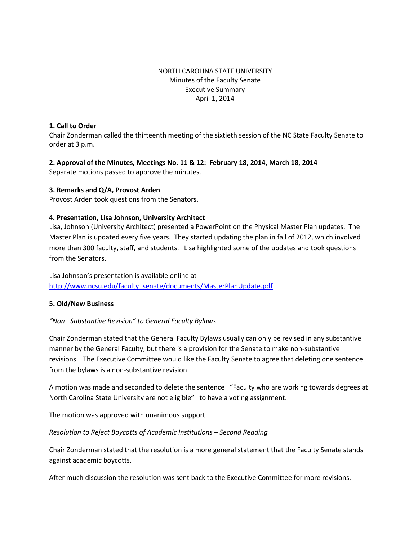## NORTH CAROLINA STATE UNIVERSITY Minutes of the Faculty Senate Executive Summary April 1, 2014

#### **1. Call to Order**

Chair Zonderman called the thirteenth meeting of the sixtieth session of the NC State Faculty Senate to order at 3 p.m.

## **2. Approval of the Minutes, Meetings No. 11 & 12: February 18, 2014, March 18, 2014**  Separate motions passed to approve the minutes.

## **3. Remarks and Q/A, Provost Arden**

Provost Arden took questions from the Senators.

## **4. Presentation, Lisa Johnson, University Architect**

Lisa, Johnson (University Architect) presented a PowerPoint on the Physical Master Plan updates. The Master Plan is updated every five years. They started updating the plan in fall of 2012, which involved more than 300 faculty, staff, and students. Lisa highlighted some of the updates and took questions from the Senators.

Lisa Johnson's presentation is available online at [http://www.ncsu.edu/faculty\\_senate/documents/MasterPlanUpdate.pdf](http://www.ncsu.edu/faculty_senate/documents/MasterPlanUpdate.pdf)

## **5. Old/New Business**

## *"Non –Substantive Revision" to General Faculty Bylaws*

Chair Zonderman stated that the General Faculty Bylaws usually can only be revised in any substantive manner by the General Faculty, but there is a provision for the Senate to make non-substantive revisions. The Executive Committee would like the Faculty Senate to agree that deleting one sentence from the bylaws is a non-substantive revision

A motion was made and seconded to delete the sentence "Faculty who are working towards degrees at North Carolina State University are not eligible" to have a voting assignment.

The motion was approved with unanimous support.

## *Resolution to Reject Boycotts of Academic Institutions – Second Reading*

Chair Zonderman stated that the resolution is a more general statement that the Faculty Senate stands against academic boycotts.

After much discussion the resolution was sent back to the Executive Committee for more revisions.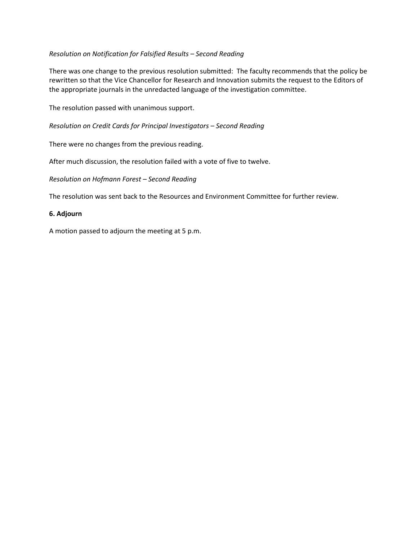## *Resolution on Notification for Falsified Results – Second Reading*

There was one change to the previous resolution submitted: The faculty recommends that the policy be rewritten so that the Vice Chancellor for Research and Innovation submits the request to the Editors of the appropriate journals in the unredacted language of the investigation committee.

The resolution passed with unanimous support.

*Resolution on Credit Cards for Principal Investigators – Second Reading* 

There were no changes from the previous reading.

After much discussion, the resolution failed with a vote of five to twelve.

*Resolution on Hofmann Forest – Second Reading*

The resolution was sent back to the Resources and Environment Committee for further review.

#### **6. Adjourn**

A motion passed to adjourn the meeting at 5 p.m.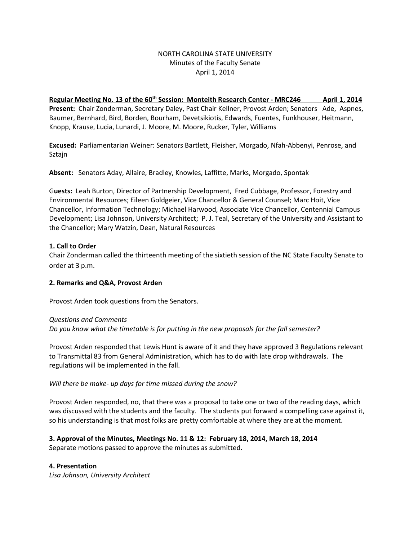## NORTH CAROLINA STATE UNIVERSITY Minutes of the Faculty Senate April 1, 2014

Regular Meeting No. 13 of the 60<sup>th</sup> Session: Monteith Research Center - MRC246 April 1, 2014 **Present:** Chair Zonderman, Secretary Daley, Past Chair Kellner, Provost Arden; Senators Ade, Aspnes, Baumer, Bernhard, Bird, Borden, Bourham, Devetsikiotis, Edwards, Fuentes, Funkhouser, Heitmann, Knopp, Krause, Lucia, Lunardi, J. Moore, M. Moore, Rucker, Tyler, Williams

**Excused:** Parliamentarian Weiner: Senators Bartlett, Fleisher, Morgado, Nfah-Abbenyi, Penrose, and Sztajn

**Absent:** Senators Aday, Allaire, Bradley, Knowles, Laffitte, Marks, Morgado, Spontak

G**uests:** Leah Burton, Director of Partnership Development, Fred Cubbage, Professor, Forestry and Environmental Resources; Eileen Goldgeier, Vice Chancellor & General Counsel; Marc Hoit, Vice Chancellor, Information Technology; Michael Harwood, Associate Vice Chancellor, Centennial Campus Development; Lisa Johnson, University Architect; P. J. Teal, Secretary of the University and Assistant to the Chancellor; Mary Watzin, Dean, Natural Resources

## **1. Call to Order**

Chair Zonderman called the thirteenth meeting of the sixtieth session of the NC State Faculty Senate to order at 3 p.m.

## **2. Remarks and Q&A, Provost Arden**

Provost Arden took questions from the Senators.

*Questions and Comments Do you know what the timetable is for putting in the new proposals for the fall semester?*

Provost Arden responded that Lewis Hunt is aware of it and they have approved 3 Regulations relevant to Transmittal 83 from General Administration, which has to do with late drop withdrawals. The regulations will be implemented in the fall.

## *Will there be make- up days for time missed during the snow?*

Provost Arden responded, no, that there was a proposal to take one or two of the reading days, which was discussed with the students and the faculty. The students put forward a compelling case against it, so his understanding is that most folks are pretty comfortable at where they are at the moment.

#### **3. Approval of the Minutes, Meetings No. 11 & 12: February 18, 2014, March 18, 2014**  Separate motions passed to approve the minutes as submitted.

## **4. Presentation**

*Lisa Johnson, University Architect*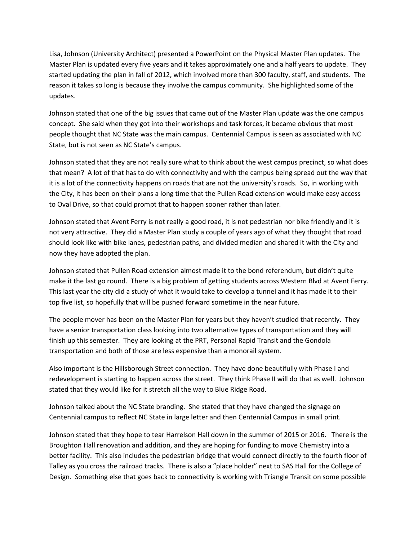Lisa, Johnson (University Architect) presented a PowerPoint on the Physical Master Plan updates. The Master Plan is updated every five years and it takes approximately one and a half years to update. They started updating the plan in fall of 2012, which involved more than 300 faculty, staff, and students. The reason it takes so long is because they involve the campus community. She highlighted some of the updates.

Johnson stated that one of the big issues that came out of the Master Plan update was the one campus concept. She said when they got into their workshops and task forces, it became obvious that most people thought that NC State was the main campus. Centennial Campus is seen as associated with NC State, but is not seen as NC State's campus.

Johnson stated that they are not really sure what to think about the west campus precinct, so what does that mean? A lot of that has to do with connectivity and with the campus being spread out the way that it is a lot of the connectivity happens on roads that are not the university's roads. So, in working with the City, it has been on their plans a long time that the Pullen Road extension would make easy access to Oval Drive, so that could prompt that to happen sooner rather than later.

Johnson stated that Avent Ferry is not really a good road, it is not pedestrian nor bike friendly and it is not very attractive. They did a Master Plan study a couple of years ago of what they thought that road should look like with bike lanes, pedestrian paths, and divided median and shared it with the City and now they have adopted the plan.

Johnson stated that Pullen Road extension almost made it to the bond referendum, but didn't quite make it the last go round. There is a big problem of getting students across Western Blvd at Avent Ferry. This last year the city did a study of what it would take to develop a tunnel and it has made it to their top five list, so hopefully that will be pushed forward sometime in the near future.

The people mover has been on the Master Plan for years but they haven't studied that recently. They have a senior transportation class looking into two alternative types of transportation and they will finish up this semester. They are looking at the PRT, Personal Rapid Transit and the Gondola transportation and both of those are less expensive than a monorail system.

Also important is the Hillsborough Street connection. They have done beautifully with Phase I and redevelopment is starting to happen across the street. They think Phase II will do that as well. Johnson stated that they would like for it stretch all the way to Blue Ridge Road.

Johnson talked about the NC State branding. She stated that they have changed the signage on Centennial campus to reflect NC State in large letter and then Centennial Campus in small print.

Johnson stated that they hope to tear Harrelson Hall down in the summer of 2015 or 2016. There is the Broughton Hall renovation and addition, and they are hoping for funding to move Chemistry into a better facility. This also includes the pedestrian bridge that would connect directly to the fourth floor of Talley as you cross the railroad tracks. There is also a "place holder" next to SAS Hall for the College of Design. Something else that goes back to connectivity is working with Triangle Transit on some possible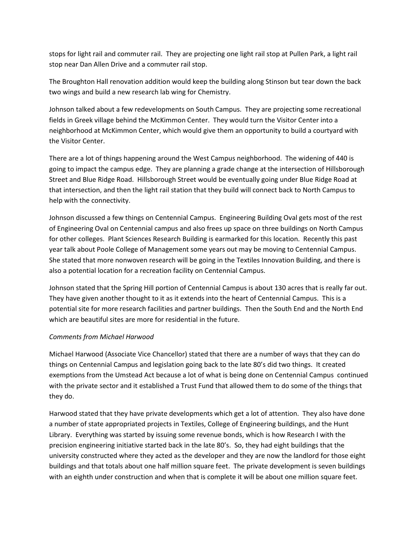stops for light rail and commuter rail. They are projecting one light rail stop at Pullen Park, a light rail stop near Dan Allen Drive and a commuter rail stop.

The Broughton Hall renovation addition would keep the building along Stinson but tear down the back two wings and build a new research lab wing for Chemistry.

Johnson talked about a few redevelopments on South Campus. They are projecting some recreational fields in Greek village behind the McKimmon Center. They would turn the Visitor Center into a neighborhood at McKimmon Center, which would give them an opportunity to build a courtyard with the Visitor Center.

There are a lot of things happening around the West Campus neighborhood. The widening of 440 is going to impact the campus edge. They are planning a grade change at the intersection of Hillsborough Street and Blue Ridge Road. Hillsborough Street would be eventually going under Blue Ridge Road at that intersection, and then the light rail station that they build will connect back to North Campus to help with the connectivity.

Johnson discussed a few things on Centennial Campus. Engineering Building Oval gets most of the rest of Engineering Oval on Centennial campus and also frees up space on three buildings on North Campus for other colleges. Plant Sciences Research Building is earmarked for this location. Recently this past year talk about Poole College of Management some years out may be moving to Centennial Campus. She stated that more nonwoven research will be going in the Textiles Innovation Building, and there is also a potential location for a recreation facility on Centennial Campus.

Johnson stated that the Spring Hill portion of Centennial Campus is about 130 acres that is really far out. They have given another thought to it as it extends into the heart of Centennial Campus. This is a potential site for more research facilities and partner buildings. Then the South End and the North End which are beautiful sites are more for residential in the future.

# *Comments from Michael Harwood*

Michael Harwood (Associate Vice Chancellor) stated that there are a number of ways that they can do things on Centennial Campus and legislation going back to the late 80's did two things. It created exemptions from the Umstead Act because a lot of what is being done on Centennial Campus continued with the private sector and it established a Trust Fund that allowed them to do some of the things that they do.

Harwood stated that they have private developments which get a lot of attention. They also have done a number of state appropriated projects in Textiles, College of Engineering buildings, and the Hunt Library. Everything was started by issuing some revenue bonds, which is how Research I with the precision engineering initiative started back in the late 80's. So, they had eight buildings that the university constructed where they acted as the developer and they are now the landlord for those eight buildings and that totals about one half million square feet. The private development is seven buildings with an eighth under construction and when that is complete it will be about one million square feet.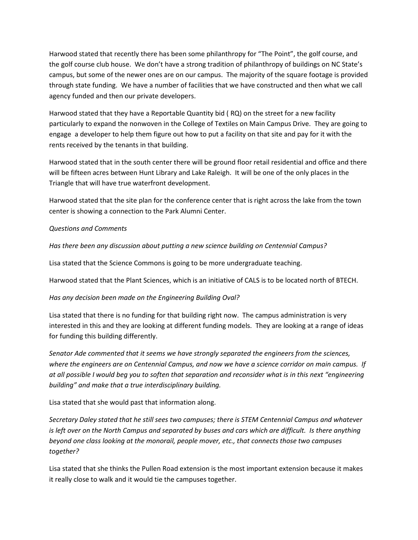Harwood stated that recently there has been some philanthropy for "The Point", the golf course, and the golf course club house. We don't have a strong tradition of philanthropy of buildings on NC State's campus, but some of the newer ones are on our campus. The majority of the square footage is provided through state funding. We have a number of facilities that we have constructed and then what we call agency funded and then our private developers.

Harwood stated that they have a Reportable Quantity bid ( RQ) on the street for a new facility particularly to expand the nonwoven in the College of Textiles on Main Campus Drive. They are going to engage a developer to help them figure out how to put a facility on that site and pay for it with the rents received by the tenants in that building.

Harwood stated that in the south center there will be ground floor retail residential and office and there will be fifteen acres between Hunt Library and Lake Raleigh. It will be one of the only places in the Triangle that will have true waterfront development.

Harwood stated that the site plan for the conference center that is right across the lake from the town center is showing a connection to the Park Alumni Center.

## *Questions and Comments*

*Has there been any discussion about putting a new science building on Centennial Campus?*

Lisa stated that the Science Commons is going to be more undergraduate teaching.

Harwood stated that the Plant Sciences, which is an initiative of CALS is to be located north of BTECH.

## *Has any decision been made on the Engineering Building Oval?*

Lisa stated that there is no funding for that building right now. The campus administration is very interested in this and they are looking at different funding models. They are looking at a range of ideas for funding this building differently.

*Senator Ade commented that it seems we have strongly separated the engineers from the sciences, where the engineers are on Centennial Campus, and now we have a science corridor on main campus. If at all possible I would beg you to soften that separation and reconsider what is in this next "engineering building" and make that a true interdisciplinary building.* 

Lisa stated that she would past that information along.

*Secretary Daley stated that he still sees two campuses; there is STEM Centennial Campus and whatever is left over on the North Campus and separated by buses and cars which are difficult. Is there anything beyond one class looking at the monorail, people mover, etc., that connects those two campuses together?* 

Lisa stated that she thinks the Pullen Road extension is the most important extension because it makes it really close to walk and it would tie the campuses together.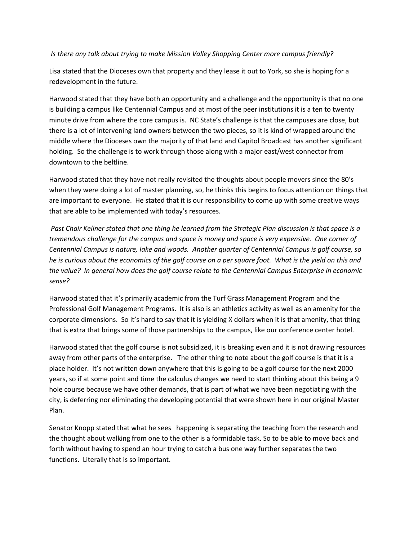#### *Is there any talk about trying to make Mission Valley Shopping Center more campus friendly?*

Lisa stated that the Dioceses own that property and they lease it out to York, so she is hoping for a redevelopment in the future.

Harwood stated that they have both an opportunity and a challenge and the opportunity is that no one is building a campus like Centennial Campus and at most of the peer institutions it is a ten to twenty minute drive from where the core campus is. NC State's challenge is that the campuses are close, but there is a lot of intervening land owners between the two pieces, so it is kind of wrapped around the middle where the Dioceses own the majority of that land and Capitol Broadcast has another significant holding. So the challenge is to work through those along with a major east/west connector from downtown to the beltline.

Harwood stated that they have not really revisited the thoughts about people movers since the 80's when they were doing a lot of master planning, so, he thinks this begins to focus attention on things that are important to everyone. He stated that it is our responsibility to come up with some creative ways that are able to be implemented with today's resources.

*Past Chair Kellner stated that one thing he learned from the Strategic Plan discussion is that space is a tremendous challenge for the campus and space is money and space is very expensive. One corner of Centennial Campus is nature, lake and woods. Another quarter of Centennial Campus is golf course, so he is curious about the economics of the golf course on a per square foot. What is the yield on this and the value? In general how does the golf course relate to the Centennial Campus Enterprise in economic sense?*

Harwood stated that it's primarily academic from the Turf Grass Management Program and the Professional Golf Management Programs. It is also is an athletics activity as well as an amenity for the corporate dimensions. So it's hard to say that it is yielding X dollars when it is that amenity, that thing that is extra that brings some of those partnerships to the campus, like our conference center hotel.

Harwood stated that the golf course is not subsidized, it is breaking even and it is not drawing resources away from other parts of the enterprise. The other thing to note about the golf course is that it is a place holder. It's not written down anywhere that this is going to be a golf course for the next 2000 years, so if at some point and time the calculus changes we need to start thinking about this being a 9 hole course because we have other demands, that is part of what we have been negotiating with the city, is deferring nor eliminating the developing potential that were shown here in our original Master Plan.

Senator Knopp stated that what he sees happening is separating the teaching from the research and the thought about walking from one to the other is a formidable task. So to be able to move back and forth without having to spend an hour trying to catch a bus one way further separates the two functions. Literally that is so important.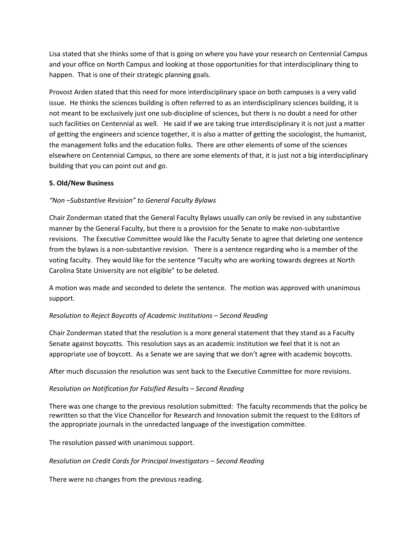Lisa stated that she thinks some of that is going on where you have your research on Centennial Campus and your office on North Campus and looking at those opportunities for that interdisciplinary thing to happen. That is one of their strategic planning goals.

Provost Arden stated that this need for more interdisciplinary space on both campuses is a very valid issue. He thinks the sciences building is often referred to as an interdisciplinary sciences building, it is not meant to be exclusively just one sub-discipline of sciences, but there is no doubt a need for other such facilities on Centennial as well. He said if we are taking true interdisciplinary it is not just a matter of getting the engineers and science together, it is also a matter of getting the sociologist, the humanist, the management folks and the education folks. There are other elements of some of the sciences elsewhere on Centennial Campus, so there are some elements of that, it is just not a big interdisciplinary building that you can point out and go.

## **5. Old/New Business**

## *"Non –Substantive Revision" to General Faculty Bylaws*

Chair Zonderman stated that the General Faculty Bylaws usually can only be revised in any substantive manner by the General Faculty, but there is a provision for the Senate to make non-substantive revisions. The Executive Committee would like the Faculty Senate to agree that deleting one sentence from the bylaws is a non-substantive revision. There is a sentence regarding who is a member of the voting faculty. They would like for the sentence "Faculty who are working towards degrees at North Carolina State University are not eligible" to be deleted.

A motion was made and seconded to delete the sentence. The motion was approved with unanimous support.

## *Resolution to Reject Boycotts of Academic Institutions – Second Reading*

Chair Zonderman stated that the resolution is a more general statement that they stand as a Faculty Senate against boycotts. This resolution says as an academic institution we feel that it is not an appropriate use of boycott. As a Senate we are saying that we don't agree with academic boycotts.

After much discussion the resolution was sent back to the Executive Committee for more revisions.

## *Resolution on Notification for Falsified Results – Second Reading*

There was one change to the previous resolution submitted: The faculty recommends that the policy be rewritten so that the Vice Chancellor for Research and Innovation submit the request to the Editors of the appropriate journals in the unredacted language of the investigation committee.

The resolution passed with unanimous support.

## *Resolution on Credit Cards for Principal Investigators – Second Reading*

There were no changes from the previous reading.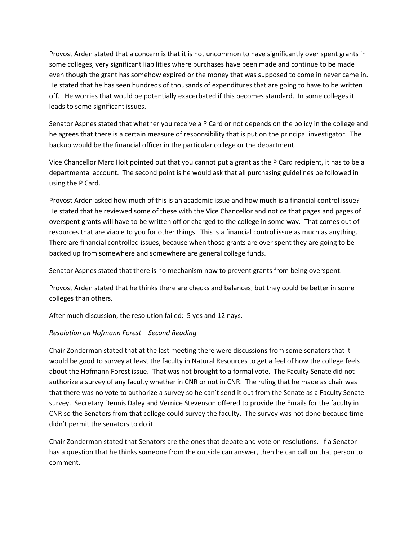Provost Arden stated that a concern is that it is not uncommon to have significantly over spent grants in some colleges, very significant liabilities where purchases have been made and continue to be made even though the grant has somehow expired or the money that was supposed to come in never came in. He stated that he has seen hundreds of thousands of expenditures that are going to have to be written off. He worries that would be potentially exacerbated if this becomes standard. In some colleges it leads to some significant issues.

Senator Aspnes stated that whether you receive a P Card or not depends on the policy in the college and he agrees that there is a certain measure of responsibility that is put on the principal investigator. The backup would be the financial officer in the particular college or the department.

Vice Chancellor Marc Hoit pointed out that you cannot put a grant as the P Card recipient, it has to be a departmental account. The second point is he would ask that all purchasing guidelines be followed in using the P Card.

Provost Arden asked how much of this is an academic issue and how much is a financial control issue? He stated that he reviewed some of these with the Vice Chancellor and notice that pages and pages of overspent grants will have to be written off or charged to the college in some way. That comes out of resources that are viable to you for other things. This is a financial control issue as much as anything. There are financial controlled issues, because when those grants are over spent they are going to be backed up from somewhere and somewhere are general college funds.

Senator Aspnes stated that there is no mechanism now to prevent grants from being overspent.

Provost Arden stated that he thinks there are checks and balances, but they could be better in some colleges than others.

After much discussion, the resolution failed: 5 yes and 12 nays.

## *Resolution on Hofmann Forest – Second Reading*

Chair Zonderman stated that at the last meeting there were discussions from some senators that it would be good to survey at least the faculty in Natural Resources to get a feel of how the college feels about the Hofmann Forest issue. That was not brought to a formal vote. The Faculty Senate did not authorize a survey of any faculty whether in CNR or not in CNR. The ruling that he made as chair was that there was no vote to authorize a survey so he can't send it out from the Senate as a Faculty Senate survey. Secretary Dennis Daley and Vernice Stevenson offered to provide the Emails for the faculty in CNR so the Senators from that college could survey the faculty. The survey was not done because time didn't permit the senators to do it.

Chair Zonderman stated that Senators are the ones that debate and vote on resolutions. If a Senator has a question that he thinks someone from the outside can answer, then he can call on that person to comment.